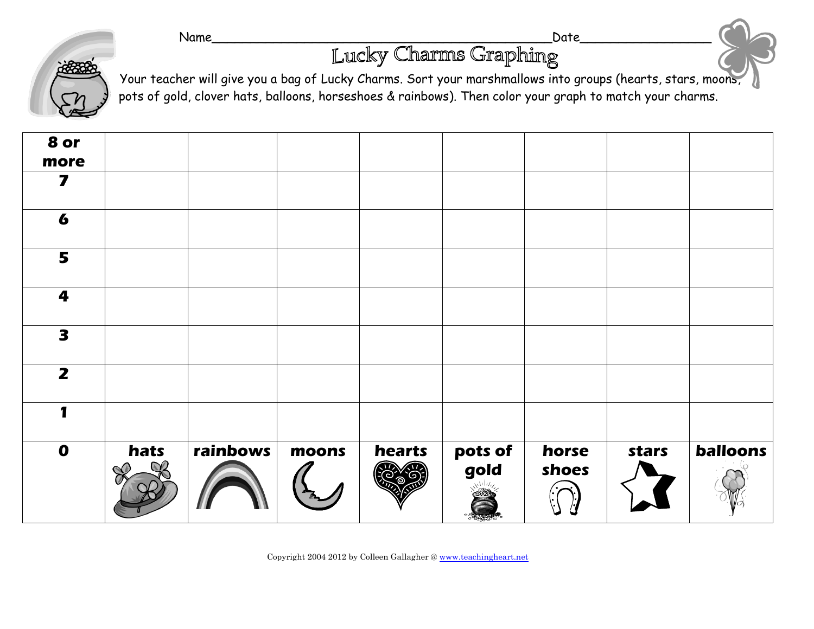Name\_\_\_\_\_\_\_\_\_\_\_\_\_\_\_\_\_\_\_\_\_\_\_\_\_\_\_\_\_\_\_\_\_\_\_\_\_\_\_\_\_\_\_\_Date\_\_\_\_\_\_\_\_\_\_\_\_\_\_\_\_\_



Your teacher will give you a bag of Lucky Charms. Sort your marshmallows into groups (hearts, stars, moons, pots of gold, clover hats, balloons, horseshoes & rainbows). Then color your graph to match your charms.

| $\mathbf 0$             | hats | rainbows | moons | hearts | pots of<br>gold | horse<br>shoes | stars | balloons |
|-------------------------|------|----------|-------|--------|-----------------|----------------|-------|----------|
|                         |      |          |       |        |                 |                |       |          |
| $\overline{\mathbf{z}}$ |      |          |       |        |                 |                |       |          |
| 3                       |      |          |       |        |                 |                |       |          |
| 4                       |      |          |       |        |                 |                |       |          |
| 5                       |      |          |       |        |                 |                |       |          |
| 6                       |      |          |       |        |                 |                |       |          |
| 7                       |      |          |       |        |                 |                |       |          |
| 8 or<br>more            |      |          |       |        |                 |                |       |          |